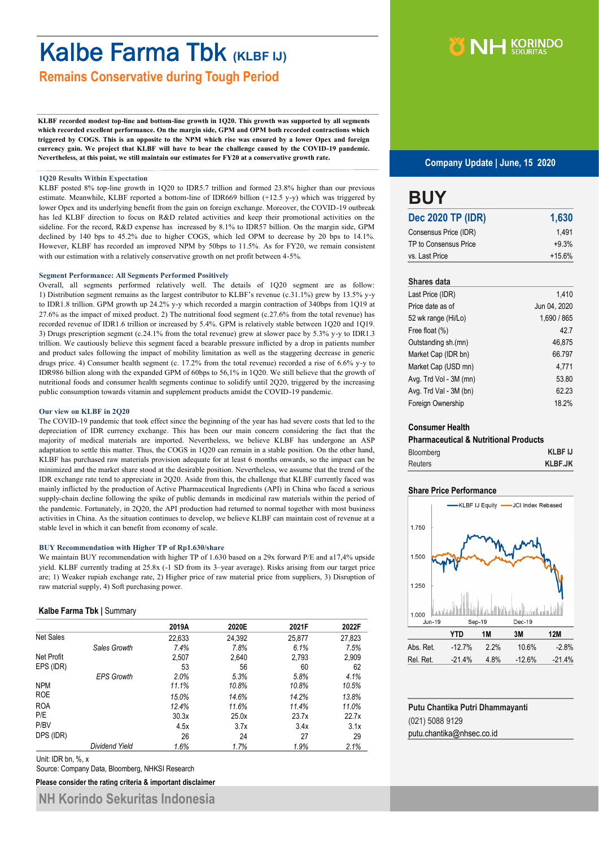## Kalbe Farma Tbk **(KLBF IJ)**

**Remains Conservative during Tough Period**

**KLBF recorded modest top-line and bottom-line growth in 1Q20. This growth was supported by all segments which recorded excellent performance. On the margin side, GPM and OPM both recorded contractions which triggered by COGS. This is an opposite to the NPM which rise was ensured by a lower Opex and foreign currency gain. We project that KLBF will have to bear the challenge caused by the COVID-19 pandemic. Nevertheless, at this point, we still maintain our estimates for FY20 at a conservative growth rate.** 

#### **1Q20 Results Within Expectation**

KLBF posted 8% top-line growth in 1Q20 to IDR5.7 trillion and formed 23.8% higher than our previous estimate. Meanwhile, KLBF reported a bottom-line of IDR669 billion (+12.5 y-y) which was triggered by lower Opex and its underlying benefit from the gain on foreign exchange. Moreover, the COVID-19 outbreak has led KLBF direction to focus on R&D related activities and keep their promotional activities on the sideline. For the record, R&D expense has increased by 8.1% to IDR57 billion. On the margin side, GPM declined by 140 bps to 45.2% due to higher COGS, which led OPM to decrease by 20 bps to 14.1%. However, KLBF has recorded an improved NPM by 50bps to 11.5%. As for FY20, we remain consistent with our estimation with a relatively conservative growth on net profit between 4-5%.

#### **Segment Performance: All Segments Performed Positively**

Overall, all segments performed relatively well. The details of 1Q20 segment are as follow: 1) Distribution segment remains as the largest contributor to KLBF's revenue (c.31.1%) grew by 13.5% y-y to IDR1.8 trillion. GPM growth up 24.2% y-y which recorded a margin contraction of 340bps from 1Q19 at 27.6% as the impact of mixed product. 2) The nutritional food segment (c.27.6% from the total revenue) has recorded revenue of IDR1.6 trillion or increased by 5.4%. GPM is relatively stable between 1Q20 and 1Q19. 3) Drugs prescription segment (c.24.1% from the total revenue) grew at slower pace by 5.3% y-y to IDR1.3 trillion. We cautiously believe this segment faced a bearable pressure inflicted by a drop in patients number and product sales following the impact of mobility limitation as well as the staggering decrease in generic drugs price. 4) Consumer health segment (c. 17.2% from the total revenue) recorded a rise of 6.6% y-y to IDR986 billion along with the expanded GPM of 60bps to 56,1% in 1Q20. We still believe that the growth of nutritional foods and consumer health segments continue to solidify until 2Q20, triggered by the increasing public consumption towards vitamin and supplement products amidst the COVID-19 pandemic.

#### **Our view on KLBF in 2Q20**

The COVID-19 pandemic that took effect since the beginning of the year has had severe costs that led to the depreciation of IDR currency exchange. This has been our main concern considering the fact that the majority of medical materials are imported. Nevertheless, we believe KLBF has undergone an ASP adaptation to settle this matter. Thus, the COGS in 1Q20 can remain in a stable position. On the other hand, KLBF has purchased raw materials provision adequate for at least 6 months onwards, so the impact can be minimized and the market share stood at the desirable position. Nevertheless, we assume that the trend of the IDR exchange rate tend to appreciate in 2Q20. Aside from this, the challenge that KLBF currently faced was mainly inflicted by the production of Active Pharmaceutical Ingredients (API) in China who faced a serious supply-chain decline following the spike of public demands in medicinal raw materials within the period of the pandemic. Fortunately, in 2Q20, the API production had returned to normal together with most business activities in China. As the situation continues to develop, we believe KLBF can maintain cost of revenue at a stable level in which it can benefit from economy of scale.

#### **BUY Recommendation with Higher TP of Rp1.630/share**

We maintain BUY recommendation with higher TP of 1.630 based on a 29x forward P/E and a17.4% upside yield. KLBF currently trading at 25.8x (-1 SD from its 3–year average). Risks arising from our target price are; 1) Weaker rupiah exchange rate, 2) Higher price of raw material price from suppliers, 3) Disruption of raw material supply, 4) Soft purchasing power.

#### **Kalbe Farma Tbk |** Summary

|                  |                       | 2019A  | 2020E  | 2021F  | 2022F  |
|------------------|-----------------------|--------|--------|--------|--------|
| <b>Net Sales</b> |                       | 22,633 | 24,392 | 25,877 | 27,823 |
|                  | Sales Growth          | 7.4%   | 7.8%   | 6.1%   | 7.5%   |
| Net Profit       |                       | 2,507  | 2,640  | 2,793  | 2,909  |
| EPS (IDR)        |                       | 53     | 56     | 60     | 62     |
|                  | <b>EPS Growth</b>     | 2.0%   | 5.3%   | 5.8%   | 4.1%   |
| <b>NPM</b>       |                       | 11.1%  | 10.8%  | 10.8%  | 10.5%  |
| <b>ROE</b>       |                       | 15.0%  | 14.6%  | 14.2%  | 13.8%  |
| <b>ROA</b>       |                       | 12.4%  | 11.6%  | 11.4%  | 11.0%  |
| P/E              |                       | 30.3x  | 25.0x  | 23.7x  | 22.7x  |
| P/BV             |                       | 4.5x   | 3.7x   | 3.4x   | 3.1x   |
| DPS (IDR)        |                       | 26     | 24     | 27     | 29     |
|                  | <b>Dividend Yield</b> | 1.6%   | 1.7%   | 1.9%   | 2.1%   |

Unit: IDR bn, %, x

Source: Company Data, Bloomberg, NHKSI Research

**Please consider the rating criteria & important disclaimer**

**NH Korindo Sekuritas Indonesia**



#### **Company Update | June, 15 2020**

### **BUY**

| <b>Dec 2020 TP (IDR)</b> | 1,630    |
|--------------------------|----------|
| Consensus Price (IDR)    | 1.491    |
| TP to Consensus Price    | $+9.3%$  |
| vs. Last Price           | $+15.6%$ |

#### **Shares data**

| Last Price (IDR)       | 1.410        |
|------------------------|--------------|
| Price date as of       | Jun 04, 2020 |
| 52 wk range (Hi/Lo)    | 1,690 / 865  |
| Free float (%)         | 42.7         |
| Outstanding sh.(mn)    | 46.875       |
| Market Cap (IDR bn)    | 66.797       |
| Market Cap (USD mn)    | 4.771        |
| Avg. Trd Vol - 3M (mn) | 53.80        |
| Avg. Trd Val - 3M (bn) | 62.23        |
| Foreign Ownership      | 18.2%        |

#### **Consumer Health**

| <b>Pharmaceutical &amp; Nutritional Products</b> |                |
|--------------------------------------------------|----------------|
| Bloomberg                                        | <b>KLBF IJ</b> |
| <b>Reuters</b>                                   | <b>KLBF.JK</b> |

#### **Share Price Performance**



| Putu Chantika Putri Dhammayanti |
|---------------------------------|
| (021) 5088 9129                 |
| putu.chantika@nhsec.co.id       |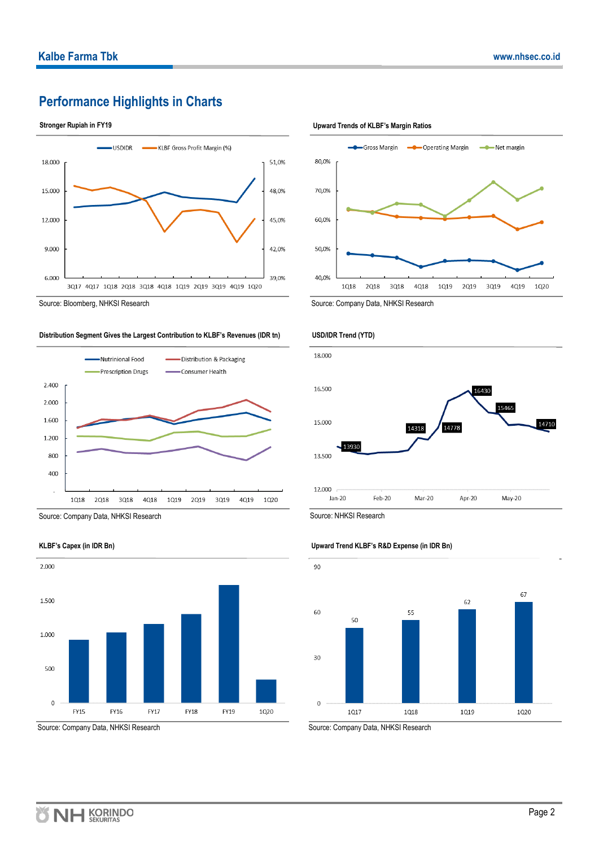#### **Performance Highlights in Charts**





**Distribution Segment Gives the Largest Contribution to KLBF's Revenues (IDR tn)**



Source: Company Data, NHKSI Research



Source: Company Data, NHKSI Research

**Stronger Rupiah in FY19 Upward Trends of KLBF's Margin Ratios**



Source: Bloomberg, NHKSI Research Source: Company Data, NHKSI Research Source: Company Data, NHKSI Research





Source: Company Data, NHKSI Research

#### **Upward Trend KLBF's R&D Expense (in IDR Bn)**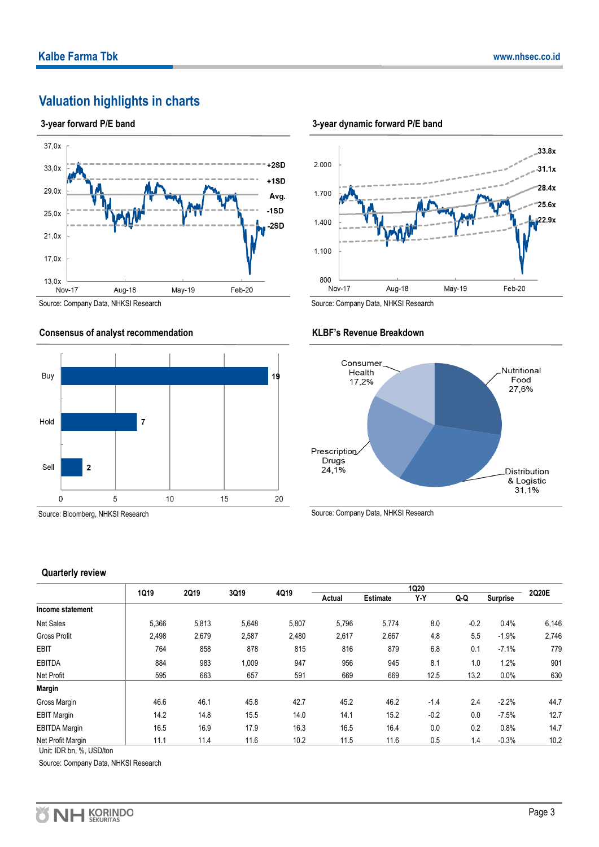#### **Valuation highlights in charts**

#### **3-year forward P/E band**



Source: Company Data, NHKSI Research

#### **Consensus of analyst recommendation**



Source: Bloomberg, NHKSI Research

#### **3-year dynamic forward P/E band**



Source: Company Data, NHKSI Research

**KLBF's Revenue Breakdown**

#### Consumer Nutritional Health Food 17,2% 27,6% Prescription Drugs  $24,1%$ Distribution & Logistic<br>31,1%

Source: Company Data, NHKSI Research

#### **Quarterly review**

|                      |       |       |       |       |        |                 | <b>1Q20</b> |        |                 |       |
|----------------------|-------|-------|-------|-------|--------|-----------------|-------------|--------|-----------------|-------|
|                      | 1Q19  | 2Q19  | 3Q19  | 4Q19  | Actual | <b>Estimate</b> | Y-Y         | Q-Q    | <b>Surprise</b> | 2Q20E |
| Income statement     |       |       |       |       |        |                 |             |        |                 |       |
| Net Sales            | 5,366 | 5,813 | 5,648 | 5,807 | 5,796  | 5,774           | 8.0         | $-0.2$ | 0.4%            | 6,146 |
| <b>Gross Profit</b>  | 2,498 | 2,679 | 2,587 | 2,480 | 2,617  | 2,667           | 4.8         | 5.5    | $-1.9%$         | 2,746 |
| <b>EBIT</b>          | 764   | 858   | 878   | 815   | 816    | 879             | 6.8         | 0.1    | $-7.1%$         | 779   |
| <b>EBITDA</b>        | 884   | 983   | 1,009 | 947   | 956    | 945             | 8.1         | 1.0    | 1.2%            | 901   |
| Net Profit           | 595   | 663   | 657   | 591   | 669    | 669             | 12.5        | 13.2   | 0.0%            | 630   |
| <b>Margin</b>        |       |       |       |       |        |                 |             |        |                 |       |
| Gross Margin         | 46.6  | 46.1  | 45.8  | 42.7  | 45.2   | 46.2            | $-1.4$      | 2.4    | $-2.2%$         | 44.7  |
| <b>EBIT Margin</b>   | 14.2  | 14.8  | 15.5  | 14.0  | 14.1   | 15.2            | $-0.2$      | 0.0    | $-7.5%$         | 12.7  |
| <b>EBITDA Margin</b> | 16.5  | 16.9  | 17.9  | 16.3  | 16.5   | 16.4            | 0.0         | 0.2    | 0.8%            | 14.7  |
| Net Profit Margin    | 11.1  | 11.4  | 11.6  | 10.2  | 11.5   | 11.6            | 0.5         | 1.4    | $-0.3%$         | 10.2  |

Unit: IDR bn, %, USD/ton

Source: Company Data, NHKSI Research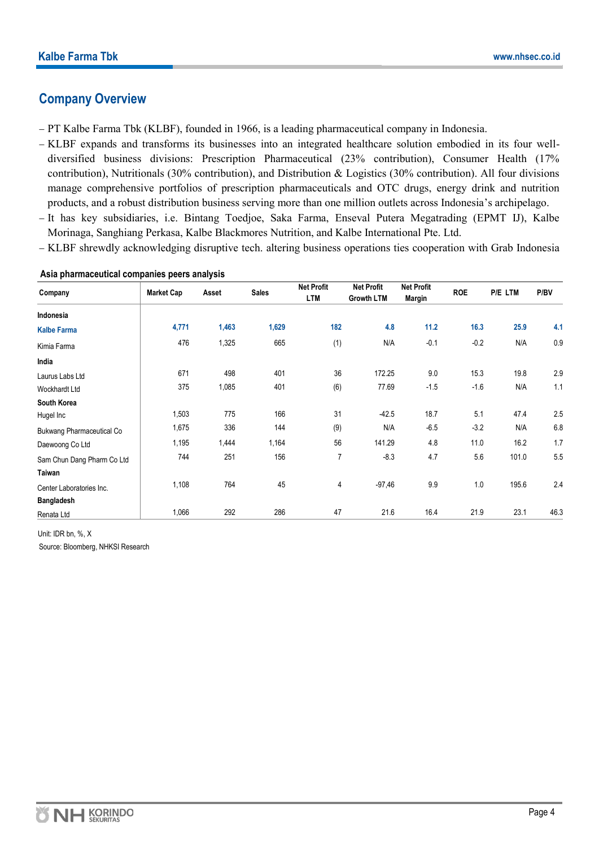#### **Company Overview**

- − PT Kalbe Farma Tbk (KLBF), founded in 1966, is a leading pharmaceutical company in Indonesia.
- − KLBF expands and transforms its businesses into an integrated healthcare solution embodied in its four welldiversified business divisions: Prescription Pharmaceutical (23% contribution), Consumer Health (17% contribution), Nutritionals (30% contribution), and Distribution & Logistics (30% contribution). All four divisions manage comprehensive portfolios of prescription pharmaceuticals and OTC drugs, energy drink and nutrition products, and a robust distribution business serving more than one million outlets across Indonesia's archipelago.
- − It has key subsidiaries, i.e. Bintang Toedjoe, Saka Farma, Enseval Putera Megatrading (EPMT IJ), Kalbe Morinaga, Sanghiang Perkasa, Kalbe Blackmores Nutrition, and Kalbe International Pte. Ltd.
- − KLBF shrewdly acknowledging disruptive tech. altering business operations ties cooperation with Grab Indonesia

|                            |                   | Asset | <b>Sales</b> | <b>Net Profit</b> | <b>Net Profit</b> | <b>Net Profit</b> | <b>ROE</b> | <b>P/E LTM</b> | P/BV |
|----------------------------|-------------------|-------|--------------|-------------------|-------------------|-------------------|------------|----------------|------|
| Company                    | <b>Market Cap</b> |       |              | <b>LTM</b>        | <b>Growth LTM</b> | Margin            |            |                |      |
| Indonesia                  |                   |       |              |                   |                   |                   |            |                |      |
| <b>Kalbe Farma</b>         | 4,771             | 1,463 | 1,629        | 182               | 4.8               | $11.2$            | 16.3       | 25.9           | 4.1  |
| Kimia Farma                | 476               | 1,325 | 665          | (1)               | N/A               | $-0.1$            | $-0.2$     | N/A            | 0.9  |
| India                      |                   |       |              |                   |                   |                   |            |                |      |
| Laurus Labs Ltd            | 671               | 498   | 401          | 36                | 172.25            | 9.0               | 15.3       | 19.8           | 2.9  |
| <b>Wockhardt Ltd</b>       | 375               | 1,085 | 401          | (6)               | 77.69             | $-1.5$            | $-1.6$     | N/A            | 1.1  |
| South Korea                |                   |       |              |                   |                   |                   |            |                |      |
| Hugel Inc                  | 1,503             | 775   | 166          | 31                | $-42.5$           | 18.7              | 5.1        | 47.4           | 2.5  |
| Bukwang Pharmaceutical Co  | 1,675             | 336   | 144          | (9)               | N/A               | $-6.5$            | $-3.2$     | N/A            | 6.8  |
| Daewoong Co Ltd            | 1,195             | 1,444 | 1,164        | 56                | 141.29            | 4.8               | 11.0       | 16.2           | 1.7  |
| Sam Chun Dang Pharm Co Ltd | 744               | 251   | 156          | 7                 | $-8.3$            | 4.7               | 5.6        | 101.0          | 5.5  |
| Taiwan                     |                   |       |              |                   |                   |                   |            |                |      |
| Center Laboratories Inc.   | 1,108             | 764   | 45           | 4                 | $-97,46$          | 9.9               | 1.0        | 195.6          | 2.4  |
| <b>Bangladesh</b>          |                   |       |              |                   |                   |                   |            |                |      |
| Renata Ltd                 | 1,066             | 292   | 286          | 47                | 21.6              | 16.4              | 21.9       | 23.1           | 46.3 |

#### **Asia pharmaceutical companies peers analysis**

Unit: IDR bn, %, X

Source: Bloomberg, NHKSI Research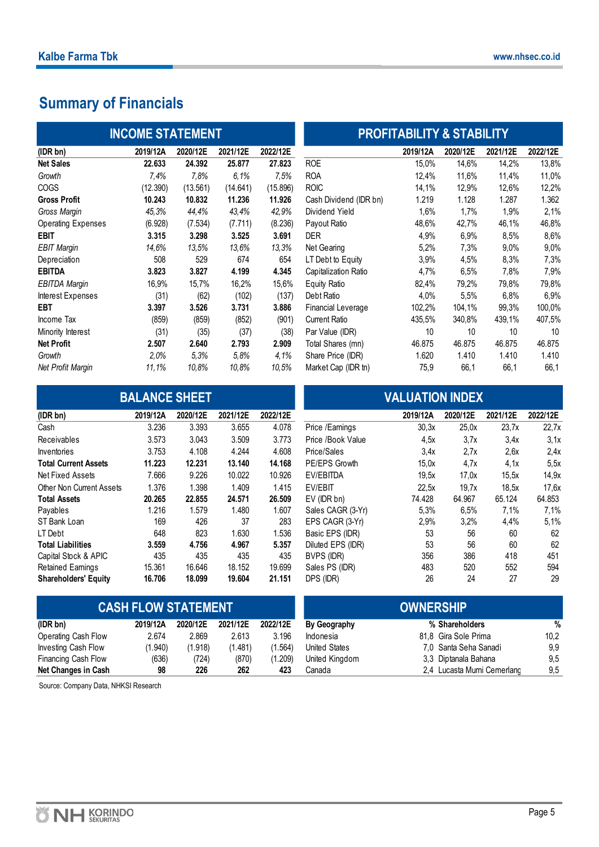#### **Summary of Financials**

|                           | <b>INCOME STATEMENT</b> |          |          |          |                           | <b>PROFITABILITY &amp; STABILITY</b> |          |          |          |
|---------------------------|-------------------------|----------|----------|----------|---------------------------|--------------------------------------|----------|----------|----------|
| (IDR bn)                  | 2019/12A                | 2020/12E | 2021/12E | 2022/12E |                           | 2019/12A                             | 2020/12E | 2021/12E | 2022/12E |
| <b>Net Sales</b>          | 22.633                  | 24.392   | 25,877   | 27.823   | <b>ROE</b>                | 15,0%                                | 14,6%    | 14,2%    | 13,8%    |
| Growth                    | 7.4%                    | 7.8%     | 6.1%     | 7.5%     | <b>ROA</b>                | 12,4%                                | 11,6%    | 11,4%    | 11,0%    |
| <b>COGS</b>               | (12.390)                | (13.561) | (14.641) | (15.896) | <b>ROIC</b>               | 14,1%                                | 12,9%    | 12,6%    | 12,2%    |
| <b>Gross Profit</b>       | 10.243                  | 10.832   | 11.236   | 11.926   | Cash Dividend (IDR bn)    | 1.219                                | 1.128    | 1.287    | 1.362    |
| Gross Margin              | 45,3%                   | 44,4%    | 43,4%    | 42,9%    | Dividend Yield            | 1,6%                                 | 1,7%     | 1,9%     | 2,1%     |
| <b>Operating Expenses</b> | (6.928)                 | (7.534)  | (7.711)  | (8.236)  | Payout Ratio              | 48,6%                                | 42,7%    | 46,1%    | 46,8%    |
| <b>EBIT</b>               | 3.315                   | 3.298    | 3.525    | 3.691    | <b>DER</b>                | 4,9%                                 | 6,9%     | 8,5%     | 8,6%     |
| <b>EBIT Margin</b>        | 14.6%                   | 13.5%    | 13.6%    | 13.3%    | Net Gearing               | 5,2%                                 | 7,3%     | $9.0\%$  | 9,0%     |
| Depreciation              | 508                     | 529      | 674      | 654      | LT Debt to Equity         | 3,9%                                 | 4,5%     | 8,3%     | 7,3%     |
| <b>EBITDA</b>             | 3.823                   | 3.827    | 4.199    | 4.345    | Capitalization Ratio      | 4,7%                                 | 6,5%     | 7,8%     | 7,9%     |
| <b>EBITDA Margin</b>      | 16,9%                   | 15,7%    | 16,2%    | 15,6%    | Equity Ratio              | 82,4%                                | 79,2%    | 79,8%    | 79,8%    |
| Interest Expenses         | (31)                    | (62)     | (102)    | (137)    | Debt Ratio                | 4,0%                                 | 5,5%     | 6.8%     | 6,9%     |
| <b>EBT</b>                | 3.397                   | 3.526    | 3.731    | 3.886    | <b>Financial Leverage</b> | 102,2%                               | 104,1%   | 99,3%    | 100,0%   |
| Income Tax                | (859)                   | (859)    | (852)    | (901)    | Current Ratio             | 435,5%                               | 340,8%   | 439,1%   | 407,5%   |
| Minority Interest         | (31)                    | (35)     | (37)     | (38)     | Par Value (IDR)           | 10                                   | 10       | 10       | 10       |
| <b>Net Profit</b>         | 2.507                   | 2.640    | 2.793    | 2.909    | Total Shares (mn)         | 46.875                               | 46.875   | 46.875   | 46.875   |
| Growth                    | 2.0%                    | 5,3%     | 5.8%     | 4,1%     | Share Price (IDR)         | 1.620                                | 1.410    | 1.410    | 1.410    |
| Net Profit Margin         | 11.1%                   | 10.8%    | 10.8%    | 10.5%    | Market Cap (IDR tn)       | 75,9                                 | 66,1     | 66,1     | 66,1     |

# Cash Dividend (IDR bn) 1.219 1.128 1.287 1.362 **INCOME STATEMENT PROFITABILITY & STABILITY**

# **BALANCE SHEET VALUATION INDEX**

| (IDR DN)                    | 2019/12A | 2020/12E | 2021/12E | 2022/12E |                   | 2019/12A | 2020/12E | 2021/12E | 2022/12E |
|-----------------------------|----------|----------|----------|----------|-------------------|----------|----------|----------|----------|
| Cash                        | 3.236    | 3.393    | 3.655    | 4.078    | Price /Earnings   | 30,3x    | 25,0x    | 23,7x    | 22,7     |
| <b>Receivables</b>          | 3.573    | 3.043    | 3.509    | 3.773    | Price /Book Value | 4,5x     | 3.7x     | 3,4x     | 3,1      |
| Inventories                 | 3.753    | 4.108    | 4.244    | 4.608    | Price/Sales       | 3.4x     | 2.7x     | 2,6x     | 2,4      |
| <b>Total Current Assets</b> | 11.223   | 12.231   | 13.140   | 14.168   | PE/EPS Growth     | 15.0x    | 4.7x     | 4,1x     | 5, 5     |
| Net Fixed Assets            | 7.666    | 9.226    | 10.022   | 10.926   | EV/EBITDA         | 19.5x    | 17.0x    | 15.5x    | 14, 9    |
| Other Non Current Assets    | 1.376    | 1.398    | 1.409    | 1.415    | EV/EBIT           | 22.5x    | 19.7x    | 18.5x    | 17,6     |
| <b>Total Assets</b>         | 20.265   | 22.855   | 24.571   | 26.509   | EV (IDR bn)       | 74.428   | 64.967   | 65.124   | 64.853   |
| Payables                    | 1.216    | 1.579    | 1.480    | 1.607    | Sales CAGR (3-Yr) | 5.3%     | 6,5%     | 7.1%     | 7,1%     |
| ST Bank Loan                | 169      | 426      | 37       | 283      | EPS CAGR (3-Yr)   | 2,9%     | 3,2%     | 4,4%     | 5,1%     |
| LT Debt                     | 648      | 823      | 1.630    | 1.536    | Basic EPS (IDR)   | 53       | 56       | 60       | 62       |
| <b>Total Liabilities</b>    | 3.559    | 4.756    | 4.967    | 5.357    | Diluted EPS (IDR) | 53       | 56       | 60       | 62       |
| Capital Stock & APIC        | 435      | 435      | 435      | 435      | BVPS (IDR)        | 356      | 386      | 418      | 451      |
| <b>Retained Earnings</b>    | 15.361   | 16.646   | 18.152   | 19.699   | Sales PS (IDR)    | 483      | 520      | 552      | 594      |
| <b>Shareholders' Equity</b> | 16.706   | 18.099   | 19.604   | 21.151   | DPS (IDR)         | 26       | 24       | 27       | 29       |

| (IDR bn)                    | 2019/12A | 2020/12E | 2021/12E | 2022/12E |                   | 2019/12A | 2020/12E | 2021/12E | 2022/12E |
|-----------------------------|----------|----------|----------|----------|-------------------|----------|----------|----------|----------|
| Cash                        | 3.236    | 3.393    | 3.655    | 4.078    | Price /Earnings   | 30,3x    | 25.0x    | 23.7x    | 22,7x    |
| Receivables                 | 3.573    | 3.043    | 3.509    | 3.773    | Price /Book Value | 4.5x     | 3,7x     | 3,4x     | 3,1x     |
| Inventories                 | 3.753    | 4.108    | 4.244    | 4.608    | Price/Sales       | 3.4x     | 2.7x     | 2,6x     | 2,4x     |
| <b>Total Current Assets</b> | 11.223   | 12.231   | 13.140   | 14.168   | PE/EPS Growth     | 15.0x    | 4.7x     | 4.1x     | 5,5x     |
| Net Fixed Assets            | 7.666    | 9.226    | 10.022   | 10.926   | EV/EBITDA         | 19,5x    | 17.0x    | 15.5x    | 14,9x    |
| Other Non Current Assets    | 1.376    | 1.398    | 1.409    | 1.415    | EV/EBIT           | 22.5x    | 19.7x    | 18.5x    | 17.6x    |
| <b>Total Assets</b>         | 20.265   | 22.855   | 24.571   | 26.509   | EV (IDR bn)       | 74.428   | 64.967   | 65.124   | 64.853   |
| Payables                    | 1.216    | 1.579    | 1.480    | 1.607    | Sales CAGR (3-Yr) | 5,3%     | 6,5%     | 7.1%     | 7,1%     |
| ST Bank Loan                | 169      | 426      | 37       | 283      | EPS CAGR (3-Yr)   | 2,9%     | 3.2%     | 4,4%     | 5,1%     |
| LT Debt                     | 648      | 823      | 1.630    | 1.536    | Basic EPS (IDR)   | 53       | 56       | 60       | 62       |
| Total Liabilities           | 3.559    | 4.756    | 4.967    | 5.357    | Diluted EPS (IDR) | 53       | 56       | 60       | 62       |
| Capital Stock & APIC        | 435      | 435      | 435      | 435      | BVPS (IDR)        | 356      | 386      | 418      | 451      |
| Retained Earnings           | 15.361   | 16.646   | 18.152   | 19.699   | Sales PS (IDR)    | 483      | 520      | 552      | 594      |
| Shareholders' Fquity        | 16.706   | 18.099   | 19.604   | 21.151   | DPS (IDR)         | 26       | 24       | 27       | 29       |

|                     | <b>CASH FLOW STATEMENT</b> |          |          |          | <b>OWNERSHIP</b> |                             |      |
|---------------------|----------------------------|----------|----------|----------|------------------|-----------------------------|------|
| (IDR bn)            | 2019/12A                   | 2020/12E | 2021/12E | 2022/12E | By Geography     | % Shareholders              | %    |
| Operating Cash Flow | 2.674                      | 2.869    | 2.613    | 3.196    | Indonesia        | 81.8 Gira Sole Prima        | 10.2 |
| Investing Cash Flow | (1.940)                    | (1.918)  | (1.481)  | (1.564)  | United States    | 7,0 Santa Seha Sanadi       | 9,9  |
| Financing Cash Flow | (636)                      | (724)    | (870)    | (1.209)  | United Kingdom   | 3.3 Diptanala Bahana        | 9.5  |
| Net Changes in Cash | 98                         | 226      | 262      | 423      | Canada           | 2,4 Lucasta Murni Cemerlang | 9,5  |

Source: Company Data, NHKSI Research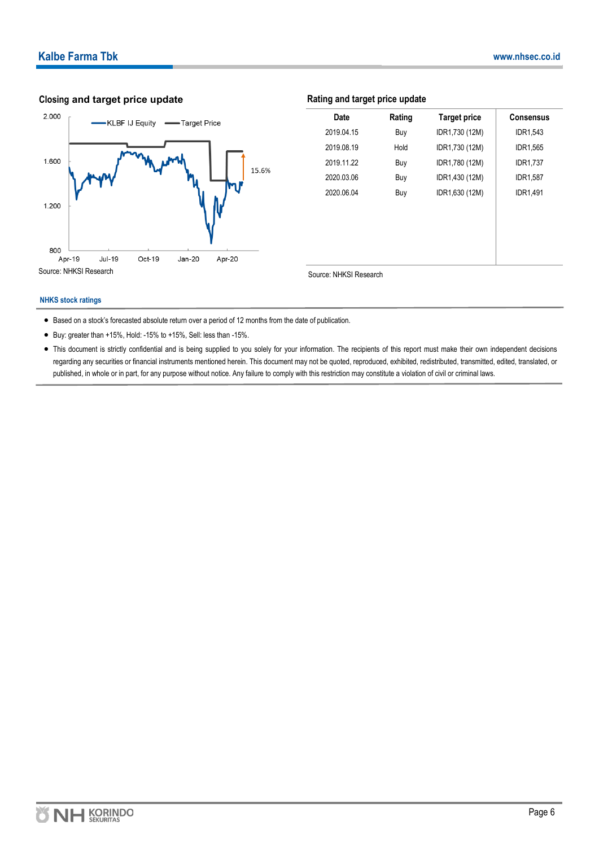## 2.000 KLBF IJ Equity - Target Price



| Closing and target price update                       |                         | Rating and target price update |                     |                  |  |  |
|-------------------------------------------------------|-------------------------|--------------------------------|---------------------|------------------|--|--|
| 2.000<br>-KLBF IJ Equity<br>Target Price              | Date                    | Rating                         | <b>Target price</b> | <b>Consensus</b> |  |  |
|                                                       | 2019.04.15              | Buy                            | IDR1,730 (12M)      | IDR1,543         |  |  |
|                                                       | 2019.08.19              | Hold                           | IDR1,730 (12M)      | IDR1,565         |  |  |
| 1.600                                                 | 2019.11.22              | Buy                            | IDR1,780 (12M)      | <b>IDR1,737</b>  |  |  |
| 15.6%                                                 | 2020.03.06              | Buy                            | IDR1,430 (12M)      | <b>IDR1,587</b>  |  |  |
| 1.200                                                 | 2020.06.04              | Buy                            | IDR1,630 (12M)      | <b>IDR1,491</b>  |  |  |
|                                                       |                         |                                |                     |                  |  |  |
| 800                                                   |                         |                                |                     |                  |  |  |
| <b>Jul-19</b><br>Oct-19<br>Apr-19<br>Jan-20<br>Apr-20 |                         |                                |                     |                  |  |  |
| Source: NHKSI Research                                | Source: MHKSI Pessearch |                                |                     |                  |  |  |

#### **NHKS stock ratings**

- Based on a stock's forecasted absolute return over a period of 12 months from the date of publication.
- Buy: greater than +15%, Hold: -15% to +15%, Sell: less than -15%.
- This document is strictly confidential and is being supplied to you solely for your information. The recipients of this report must make their own independent decisions regarding any securities or financial instruments mentioned herein. This document may not be quoted, reproduced, exhibited, redistributed, transmitted, edited, translated, or published, in whole or in part, for any purpose without notice. Any failure to comply with this restriction may constitute a violation of civil or criminal laws.